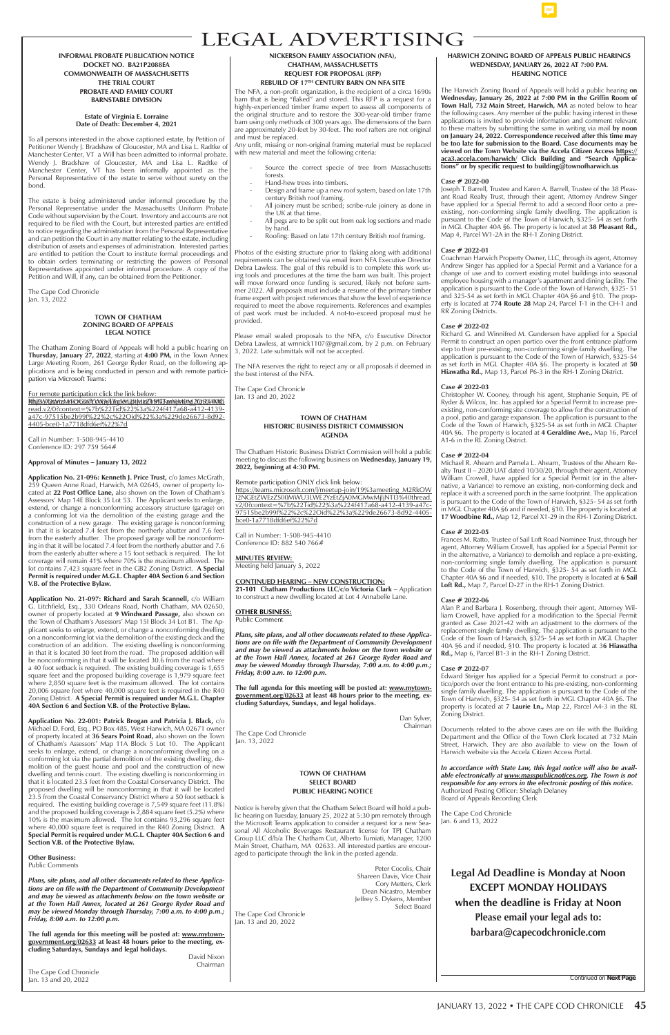**Legal Ad Deadline is Monday at Noon EXCEPT MONDAY HOLIDAYS when the deadline is Friday at Noon Please email your legal ads to: barbara@capecodchronicle.com**

# LEGAL ADVERTISING

Continued on **Next Page**

## **HARWICH ZONING BOARD OF APPEALS PUBLIC HEARINGS WEDNESDAY, JANUARY 26, 2022 AT 7:00 P.M. HEARING NOTICE**

The Harwich Zoning Board of Appeals will hold a public hearing **on Wednesday, January 26, 2022 at 7:00 PM in the Griffin Room of Town Hall, 732 Main Street, Harwich, MA** as noted below to hear the following cases. Any member of the public having interest in these applications is invited to provide information and comment relevant to these matters by submitting the same in writing via mail **by noon on January 24, 2022. Correspondence received after this time may be too late for submission to the Board. Case documents may be viewed on the Town Website via the Accela Citizen Access https:// aca3.accela.com/harwich/ Click Building and "Search Applications" or by specific request to building@townofharwich.us**

## **Case # 2022-00**

Joseph T. Barrell, Trustee and Karen A. Barrell, Trustee of the 38 Pleasant Road Realty Trust, through their agent, Attorney Andrew Singer have applied for a Special Permit to add a second floor onto a preexisting, non-conforming single family dwelling. The application is pursuant to the Code of the Town of Harwich, §325- 54 as set forth in MGL Chapter 40A §6. The property is located at **38 Pleasant Rd.,** Map 4, Parcel W1-2A in the RH-1 Zoning District.

## **Case # 2022-01**

Coachman Harwich Property Owner, LLC, through its agent, Attorney Andrew Singer has applied for a Special Permit and a Variance for a change of use and to convert existing motel buildings into seasonal employee housing with a manager's apartment and dining facility. The application is pursuant to the Code of the Town of Harwich, §325- 51 and 325-54 as set forth in MGL Chapter 40A §6 and §10. The property is located at **774 Route 28** Map 24, Parcel T-1 in the CH-1 and RR Zoning Districts.

## **Case # 2022-02**

Richard G. and Winnifred M. Gundersen have applied for a Special Permit to construct an open portico over the front entrance platform step to their pre-existing, non-conforming single family dwelling. The application is pursuant to the Code of the Town of Harwich, §325-54 as set forth in MGL Chapter 40A §6. The property is located at **50 Hiawatha Rd.,** Map 13, Parcel P6-3 in the RH-1 Zoning District.

## **Case # 2022-03**

Christopher W. Cooney, through his agent, Stephanie Sequin, PE of Ryder & Wilcox, Inc. has applied for a Special Permit to increase preexisting, non-conforming site coverage to allow for the construction of a pool, patio and garage expansion. The application is pursuant to the Code of the Town of Harwich, §325-54 as set forth in MGL Chapter 40A §6. The property is located at **4 Geraldine Ave.,** Map 16, Parcel A1-6 in the RL Zoning District.

#### **Case # 2022-04**

Michael R. Ahearn and Pamela L. Ahearn, Trustees of the Ahearn Realty Trust II – 2020 UAT dated 10/30/20, through their agent, Attorney William Crowell, have applied for a Special Permit (or in the alternative, a Variance) to remove an existing, non-conforming deck and replace it with a screened porch in the same footprint. The application is pursuant to the Code of the Town of Harwich, §325- 54 as set forth in MGL Chapter 40A §6 and if needed, §10. The property is located at **17 Woodbine Rd.,** Map 12, Parcel X1-29 in the RH-1 Zoning District.

## **Case # 2022-05**

Frances M. Ratto, Trustee of Sail Loft Road Nominee Trust, through her agent, Attorney William Crowell, has applied for a Special Permit (or in the alternative, a Variance) to demolish and replace a pre-existing, non-conforming single family dwelling. The application is pursuant to the Code of the Town of Harwich, §325- 54 as set forth in MGL Chapter 40A §6 and if needed, §10. The property is located at **6 Sail Loft Rd.,** Map 7, Parcel D-27 in the RH-1 Zoning District.

## **Case # 2022-06**

Alan P. and Barbara J. Rosenberg, through their agent, Attorney William Crowell, have applied for a modification to the Special Permit granted as Case 2021-42 with an adjustment to the dormers of the replacement single family dwelling. The application is pursuant to the Code of the Town of Harwich, §325- 54 as set forth in MGL Chapter 40A §6 and if needed, §10. The property is located at 3**6 Hiawatha Rd.,** Map 6, Parcel B1-3 in the RH-1 Zoning District.

#### **Case # 2022-07**

Edward Steiger has applied for a Special Permit to construct a portico/porch over the front entrance to his pre-existing, non-conforming single family dwelling. The application is pursuant to the Code of the Town of Harwich, §325- 54 as set forth in MGL Chapter 40A §6. The property is located at **7 Laurie Ln.,** Map 22, Parcel A4-3 in the RL Zoning District.

For remote participation click the link below: https://teams.microsoft.com/l/hydevi2itMazhM97FamYgtt0rg\_YQ5L%41OtG read.v2/0?context=%7b%22Tid%22%3a%224f417a68-a412-4139 a47c-97515be2b99f%22%2c%22Oid%22%3a%229de26673-8d92- 4405-bce0-1a7718dfd6ef%22%7d

> Documents related to the above cases are on file with the Building Department and the Office of the Town Clerk located at 732 Main Street, Harwich. They are also available to view on the Town of Harwich website via the Accela Citizen Access Portal.



*In accordance with State Law, this legal notice will also be available electronically at www.masspublicnotices.org. The Town is not responsible for any errors in the electronic posting of this notice.* Authorized Posting Officer: Shelagh Delaney Board of Appeals Recording Clerk

The Cape Cod Chronicle Jan. 6 and 13, 2022

#### **NICKERSON FAMILY ASSOCIATION (NFA), CHATHAM, MASSACHUSETTS REQUEST FOR PROPOSAL (RFP) REBUILD OF 17TH CENTURY BARN ON NFA SITE**

The NFA, a non-profit organization, is the recipient of a circa 1690s barn that is being "flaked" and stored. This RFP is a request for a highly-experienced timber frame expert to assess all components of the original structure and to restore the 300-year-old timber frame barn using only methods of 300 years ago. The dimensions of the barn are approximately 20-feet by 30-feet. The roof rafters are not original and must be replaced.

Any unfit, missing or non-original framing material must be replaced with new material and meet the following criteria:

- Source the correct specie of tree from Massachusetts forests.
- Hand-hew trees into timbers.
- Design and frame up a new roof system, based on late 17th century British roof framing.
- All joinery must be scribed; scribe-rule joinery as done in the  $UK$  at that time.
- All pegs are to be split out from oak log sections and made by hand.
- Roofing: Based on late 17th century British roof framing.

Photos of the existing structure prior to flaking along with additional requirements can be obtained via email from NFA Executive Director Debra Lawless. The goal of this rebuild is to complete this work using tools and procedures at the time the barn was built. This project will move forward once funding is secured, likely not before summer 2022. All proposals must include a resume of the primary timber frame expert with project references that show the level of experience required to meet the above requirements. References and examples of past work must be included. A not-to-exceed proposal must be provided.

Please email sealed proposals to the NFA, c/o Executive Director Debra Lawless, at wmnick1107@gmail.com, by 2 p.m. on February 3, 2022. Late submittals will not be accepted.

The NFA reserves the right to reject any or all proposals if deemed in the best interest of the NFA.

The Cape Cod Chronicle Jan. 13 and 20, 2022

**INFORMAL PROBATE PUBLICATION NOTICE DOCKET NO. BA21P2088EA COMMONWEALTH OF MASSACHUSETTS THE TRIAL COURT PROBATE AND FAMILY COURT BARNSTABLE DIVISION**

#### **Estate of Virginia E. Lorraine Date of Death: December 4, 2021**

To all persons interested in the above captioned estate, by Petition of Petitioner Wendy J. Bradshaw of Gloucester, MA and Lisa L. Radtke of Manchester Center, VT a Will has been admitted to informal probate. Wendy J. Bradshaw of Gloucester, MA and Lisa L. Radtke of Manchester Center, VT has been informally appointed as the Personal Representative of the estate to serve without surety on the bond.

The estate is being administered under informal procedure by the Personal Representative under the Massachusetts Uniform Probate Code without supervision by the Court. Inventory and accounts are not required to be filed with the Court, but interested parties are entitled to notice regarding the administration from the Personal Representative and can petition the Court in any matter relating to the estate, including distribution of assets and expenses of administration. Interested parties are entitled to petition the Court to institute formal proceedings and to obtain orders terminating or restricting the powers of Personal Representatives appointed under informal procedure. A copy of the Petition and Will, if any, can be obtained from the Petitioner.

The Cape Cod Chronicle Jan. 13, 2022

#### **TOWN OF CHATHAM ZONING BOARD OF APPEALS LEGAL NOTICE**

The Chatham Zoning Board of Appeals will hold a public hearing on **Thursday, January 27, 2022**, starting at **4:00 PM,** in the Town Annex Large Meeting Room, 261 George Ryder Road, on the following applications and is being conducted in person and with remote participation via Microsoft Teams:

Call in Number: 1-508-945-4410 Conference ID: 297 759 564#

## **Approval of Minutes – January 13, 2022**

**Application No. 21-096: Kenneth J. Price Trust,** c/o James McGrath, 259 Queen Anne Road, Harwich, MA 02645, owner of property located at **22 Post Office Lane,** also shown on the Town of Chatham's Assessors' Map 14E Block 35 Lot 53. The Applicant seeks to enlarge, extend, or change a nonconforming accessory structure (garage) on a conforming lot via the demolition of the existing garage and the construction of a new garage. The existing garage is nonconforming in that it is located 7.4 feet from the northerly abutter and 7.6 feet from the easterly abutter. The proposed garage will be nonconforming in that it will be located 7.4 feet from the northerly abutter and 7.6 from the easterly abutter where a 15 foot setback is required. The lot coverage will remain 41% where 70% is the maximum allowed. The lot contains 7,423 square feet in the GB2 Zoning District. **A Special Permit is required under M.G.L. Chapter 40A Section 6 and Section V.B. of the Protective Bylaw.**

**Application No. 21-097: Richard and Sarah Scannell,** c/o William G. Litchfield, Esq., 330 Orleans Road, North Chatham, MA 02650, owner of property located at **9 Windward Passage,** also shown on the Town of Chatham's Assessors' Map 15I Block 34 Lot B1. The Applicant seeks to enlarge, extend, or change a nonconforming dwelling on a nonconforming lot via the demolition of the existing deck and the construction of an addition. The existing dwelling is nonconforming in that it is located 30 feet from the road. The proposed addition will be nonconforming in that it will be located 30.6 from the road where a 40 foot setback is required. The existing building coverage is 1,655 square feet and the proposed building coverage is 1,979 square feet where 2,850 square feet is the maximum allowed. The lot contains 20,006 square feet where 40,000 square feet is required in the R40 Zoning District. **A Special Permit is required under M.G.L. Chapter 40A Section 6 and Section V.B. of the Protective Bylaw.**

**Application No. 22-001: Patrick Brogan and Patricia J. Black,** c/o Michael D. Ford, Esq., PO Box 485, West Harwich, MA 02671 owner of property located at **36 Sears Point Road,** also shown on the Town of Chatham's Assessors' Map 11A Block 5 Lot 10. The Applicant seeks to enlarge, extend, or change a nonconforming dwelling on a conforming lot via the partial demolition of the existing dwelling, demolition of the guest house and pool and the construction of new dwelling and tennis court. The existing dwelling is nonconforming in that it is located 23.5 feet from the Coastal Conservancy District. The proposed dwelling will be nonconforming in that it will be located 23.5 from the Coastal Conservancy District where a 50 foot setback is required. The existing building coverage is 7,549 square feet (11.8%) and the proposed building coverage is 2,884 square feet (5.2%) where 10% is the maximum allowed. The lot contains 93,296 square feet where 40,000 square feet is required in the R40 Zoning District. **A Special Permit is required under M.G.L. Chapter 40A Section 6 and Section V.B. of the Protective Bylaw.** 

**Other Business:**

Public Comments

*Plans, site plans, and all other documents related to these Applications are on file with the Department of Community Development and may be viewed as attachments below on the town website or at the Town Hall Annex, located at 261 George Ryder Road and may be viewed Monday through Thursday, 7:00 a.m. to 4:00 p.m.; Friday, 8:00 a.m. to 12:00 p.m.*

**The full agenda for this meeting will be posted at: www.mytowngovernment.org/02633 at least 48 hours prior to the meeting, excluding Saturdays, Sundays and legal holidays.**

David Nixon Chairman

The Cape Cod Chronicle Jan. 13 and 20, 2022

## **TOWN OF CHATHAM HISTORIC BUSINESS DISTRICT COMMISSION AGENDA**

The Chatham Historic Business District Commission will hold a public meeting to discuss the following business on **Wednesday, January 19, 2022, beginning at 4:30 PM.**

#### Remote participation ONLY click link below:

https://teams.microsoft.com/l/meetup-join/19%3ameeting\_M2RkOW I2NGEtZWEzZS00MWU3LWE2YzEtZjA0MGMwMjljNTI3%40thread. v2/0?context=%7b%22Tid%22%3a%224f417a68-a412-4139-a47c-97515be2b99f%22%2c%22Oid%22%3a%229de26673-8d92-4405 bce0-1a7718dfd6ef%22%7d

Call in Number: 1-508-945-4410 Conference ID: 882 540 766#

## **MINUTES REVIEW:**

Meeting held January 5, 2022

# **CONTINUED HEARING – NEW CONSTRUCTION:**

**21-101 Chatham Productions LLC/c/o Victoria Clark** – Application to construct a new dwelling located at Lot 4 Annabelle Lane.

#### **OTHER BUSINESS:** Public Comment

*Plans, site plans, and all other documents related to these Applications are on file with the Department of Community Development and may be viewed as attachments below on the town website or at the Town Hall Annex, located at 261 George Ryder Road and may be viewed Monday through Thursday, 7:00 a.m. to 4:00 p.m.; Friday, 8:00 a.m. to 12:00 p.m.*

**The full agenda for this meeting will be posted at: www.mytowngovernment.org/02633 at least 48 hours prior to the meeting, excluding Saturdays, Sundays, and legal holidays.**

> Dan Sylver, Chairman

The Cape Cod Chronicle Jan. 13, 2022

## **TOWN OF CHATHAM SELECT BOARD PUBLIC HEARING NOTICE**

Notice is hereby given that the Chatham Select Board will hold a public hearing on Tuesday, January 25, 2022 at 5:30 pm remotely through the Microsoft Teams application to consider a request for a new Seasonal All Alcoholic Beverages Restaurant license for TPJ Chatham Group LLC d/b/a The Chatham Cut, Alberto Tumiati, Manager, 1200 Main Street, Chatham, MA 02633. All interested parties are encouraged to participate through the link in the posted agenda.

> Peter Cocolis, Chair Shareen Davis, Vice Chair Cory Metters, Clerk Dean Nicastro, Member Jeffrey S. Dykens, Member Select Board

The Cape Cod Chronicle Jan. 13 and 20, 2022